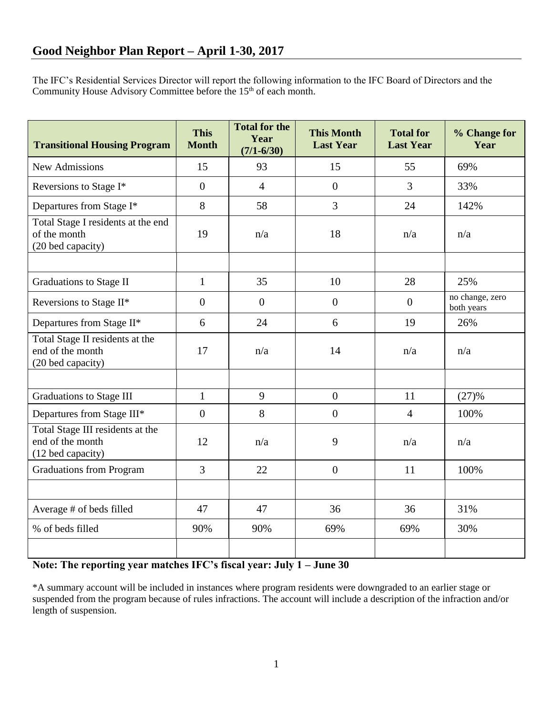The IFC's Residential Services Director will report the following information to the IFC Board of Directors and the Community House Advisory Committee before the 15<sup>th</sup> of each month.

| <b>Transitional Housing Program</b>                                       | <b>This</b><br><b>Month</b> | <b>Total for the</b><br>Year<br>$(7/1 - 6/30)$ | <b>This Month</b><br><b>Last Year</b> | <b>Total for</b><br><b>Last Year</b> | % Change for<br>Year          |
|---------------------------------------------------------------------------|-----------------------------|------------------------------------------------|---------------------------------------|--------------------------------------|-------------------------------|
| <b>New Admissions</b>                                                     | 15                          | 93                                             | 15                                    | 55                                   | 69%                           |
| Reversions to Stage I*                                                    | $\overline{0}$              | $\overline{4}$                                 | $\overline{0}$                        | 3                                    | 33%                           |
| Departures from Stage I*                                                  | 8                           | 58                                             | 3                                     | 24                                   | 142%                          |
| Total Stage I residents at the end<br>of the month<br>(20 bed capacity)   | 19                          | n/a                                            | 18                                    | n/a                                  | n/a                           |
|                                                                           |                             |                                                |                                       |                                      |                               |
| <b>Graduations to Stage II</b>                                            | $\mathbf{1}$                | 35                                             | 10                                    | 28                                   | 25%                           |
| Reversions to Stage II*                                                   | $\overline{0}$              | $\overline{0}$                                 | $\overline{0}$                        | $\overline{0}$                       | no change, zero<br>both years |
| Departures from Stage II*                                                 | 6                           | 24                                             | 6                                     | 19                                   | 26%                           |
| Total Stage II residents at the<br>end of the month<br>(20 bed capacity)  | 17                          | n/a                                            | 14                                    | n/a                                  | n/a                           |
|                                                                           |                             |                                                |                                       |                                      |                               |
| <b>Graduations to Stage III</b>                                           | $\mathbf{1}$                | 9                                              | $\overline{0}$                        | 11                                   | (27)%                         |
| Departures from Stage III*                                                | $\overline{0}$              | 8                                              | $\overline{0}$                        | $\overline{4}$                       | 100%                          |
| Total Stage III residents at the<br>end of the month<br>(12 bed capacity) | 12                          | n/a                                            | 9                                     | n/a                                  | n/a                           |
| <b>Graduations from Program</b>                                           | $\overline{3}$              | 22                                             | $\overline{0}$                        | 11                                   | 100%                          |
|                                                                           |                             |                                                |                                       |                                      |                               |
| Average # of beds filled                                                  | 47                          | 47                                             | 36                                    | 36                                   | 31%                           |
| % of beds filled                                                          | 90%                         | 90%                                            | 69%                                   | 69%                                  | 30%                           |
|                                                                           |                             |                                                |                                       |                                      |                               |

## **Note: The reporting year matches IFC's fiscal year: July 1 – June 30**

\*A summary account will be included in instances where program residents were downgraded to an earlier stage or suspended from the program because of rules infractions. The account will include a description of the infraction and/or length of suspension.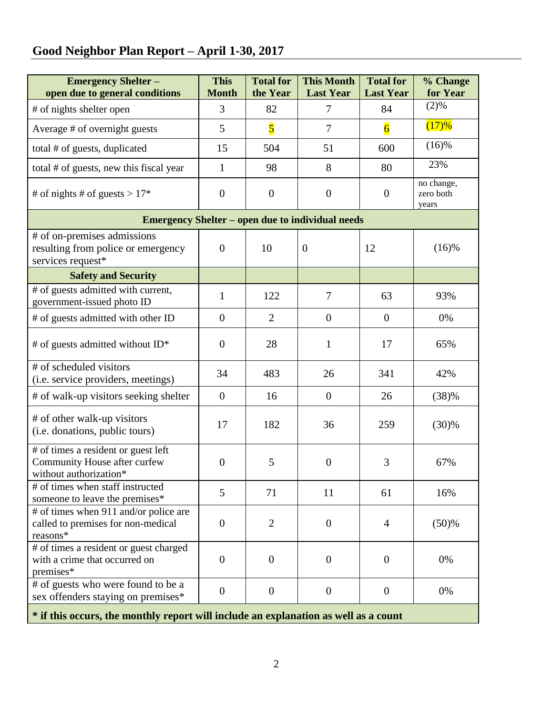## **Good Neighbor Plan Report – April 1-30, 2017**

| <b>Emergency Shelter-</b><br>open due to general conditions                                   | <b>This</b><br><b>Month</b> | <b>Total for</b><br>the Year | <b>This Month</b><br><b>Last Year</b> | <b>Total for</b><br><b>Last Year</b> | % Change<br>for Year             |  |  |  |  |
|-----------------------------------------------------------------------------------------------|-----------------------------|------------------------------|---------------------------------------|--------------------------------------|----------------------------------|--|--|--|--|
| # of nights shelter open                                                                      | 3                           | 82                           | 7                                     | 84                                   | (2)%                             |  |  |  |  |
| Average # of overnight guests                                                                 | 5                           | $\overline{\mathbf{5}}$      | 7                                     | $\overline{6}$                       | (17)%                            |  |  |  |  |
| total # of guests, duplicated                                                                 | 15                          | 504                          | 51                                    | 600                                  | (16)%                            |  |  |  |  |
| total # of guests, new this fiscal year                                                       | $\mathbf{1}$                | 98                           | 8                                     | 80                                   | 23%                              |  |  |  |  |
| # of nights # of guests > $17*$                                                               | $\overline{0}$              | $\boldsymbol{0}$             | $\boldsymbol{0}$                      | $\boldsymbol{0}$                     | no change,<br>zero both<br>years |  |  |  |  |
| <b>Emergency Shelter – open due to individual needs</b>                                       |                             |                              |                                       |                                      |                                  |  |  |  |  |
| # of on-premises admissions<br>resulting from police or emergency<br>services request*        | $\overline{0}$              | 10                           | $\boldsymbol{0}$                      | 12                                   | $(16)$ %                         |  |  |  |  |
| <b>Safety and Security</b>                                                                    |                             |                              |                                       |                                      |                                  |  |  |  |  |
| # of guests admitted with current,<br>government-issued photo ID                              | $\mathbf{1}$                | 122                          | 7                                     | 63                                   | 93%                              |  |  |  |  |
| # of guests admitted with other ID                                                            | $\overline{0}$              | $\overline{2}$               | $\boldsymbol{0}$                      | $\overline{0}$                       | 0%                               |  |  |  |  |
| # of guests admitted without ID*                                                              | $\overline{0}$              | 28                           | $\mathbf{1}$                          | 17                                   | 65%                              |  |  |  |  |
| # of scheduled visitors<br>(i.e. service providers, meetings)                                 | 34                          | 483                          | 26                                    | 341                                  | 42%                              |  |  |  |  |
| # of walk-up visitors seeking shelter                                                         | $\overline{0}$              | 16                           | $\boldsymbol{0}$                      | 26                                   | (38)%                            |  |  |  |  |
| # of other walk-up visitors<br>(i.e. donations, public tours)                                 | 17                          | 182                          | 36                                    | 259                                  | (30)%                            |  |  |  |  |
| # of times a resident or guest left<br>Community House after curfew<br>without authorization* | $\mathbf{0}$                | 5                            | $\overline{0}$                        | 3                                    | 67%                              |  |  |  |  |
| # of times when staff instructed<br>someone to leave the premises*                            | 5                           | 71                           | 11                                    | 61                                   | 16%                              |  |  |  |  |
| # of times when 911 and/or police are<br>called to premises for non-medical<br>reasons*       | $\overline{0}$              | $\overline{2}$               | $\mathbf{0}$                          | 4                                    | (50)%                            |  |  |  |  |
| # of times a resident or guest charged<br>with a crime that occurred on<br>premises*          | $\overline{0}$              | $\overline{0}$               | $\overline{0}$                        | $\overline{0}$                       | 0%                               |  |  |  |  |
| # of guests who were found to be a<br>sex offenders staying on premises*                      | $\overline{0}$              | $\overline{0}$               | $\overline{0}$                        | $\overline{0}$                       | 0%                               |  |  |  |  |
| * if this occurs, the monthly report will include an explanation as well as a count           |                             |                              |                                       |                                      |                                  |  |  |  |  |